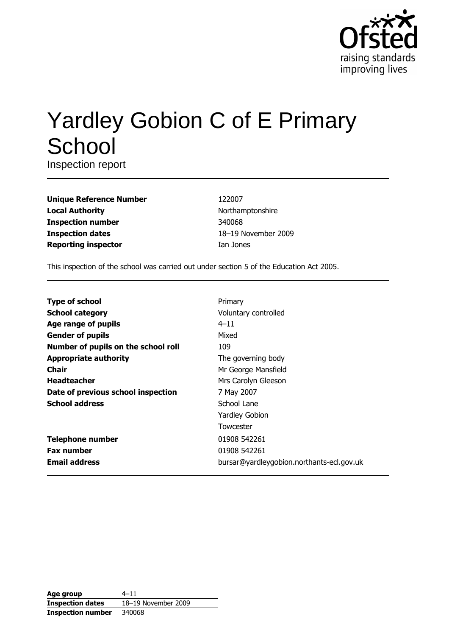

# **Yardley Gobion C of E Primary** School

Inspection report

| <b>Unique Reference Number</b> |
|--------------------------------|
| <b>Local Authority</b>         |
| <b>Inspection number</b>       |
| <b>Inspection dates</b>        |
| <b>Reporting inspector</b>     |

122007 Northamptonshire 340068 18-19 November 2009 Ian Jones

This inspection of the school was carried out under section 5 of the Education Act 2005.

| <b>Type of school</b>               | Primary                                   |
|-------------------------------------|-------------------------------------------|
| <b>School category</b>              | Voluntary controlled                      |
| Age range of pupils                 | $4 - 11$                                  |
| <b>Gender of pupils</b>             | Mixed                                     |
| Number of pupils on the school roll | 109                                       |
| <b>Appropriate authority</b>        | The governing body                        |
| <b>Chair</b>                        | Mr George Mansfield                       |
| <b>Headteacher</b>                  | Mrs Carolyn Gleeson                       |
| Date of previous school inspection  | 7 May 2007                                |
| <b>School address</b>               | School Lane                               |
|                                     | <b>Yardley Gobion</b>                     |
|                                     | Towcester                                 |
| <b>Telephone number</b>             | 01908 542261                              |
| <b>Fax number</b>                   | 01908 542261                              |
| <b>Email address</b>                | bursar@yardleygobion.northants-ecl.gov.uk |

| Age group                | $4 - 11$            |
|--------------------------|---------------------|
| <b>Inspection dates</b>  | 18-19 November 2009 |
| <b>Inspection number</b> | 340068              |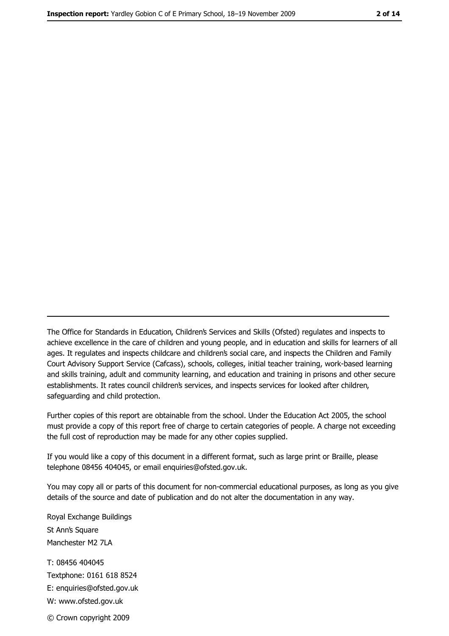The Office for Standards in Education, Children's Services and Skills (Ofsted) regulates and inspects to achieve excellence in the care of children and young people, and in education and skills for learners of all ages. It regulates and inspects childcare and children's social care, and inspects the Children and Family Court Advisory Support Service (Cafcass), schools, colleges, initial teacher training, work-based learning and skills training, adult and community learning, and education and training in prisons and other secure establishments. It rates council children's services, and inspects services for looked after children, safequarding and child protection.

Further copies of this report are obtainable from the school. Under the Education Act 2005, the school must provide a copy of this report free of charge to certain categories of people. A charge not exceeding the full cost of reproduction may be made for any other copies supplied.

If you would like a copy of this document in a different format, such as large print or Braille, please telephone 08456 404045, or email enquiries@ofsted.gov.uk.

You may copy all or parts of this document for non-commercial educational purposes, as long as you give details of the source and date of publication and do not alter the documentation in any way.

Royal Exchange Buildings St Ann's Square Manchester M2 7LA T: 08456 404045 Textphone: 0161 618 8524 E: enquiries@ofsted.gov.uk W: www.ofsted.gov.uk © Crown copyright 2009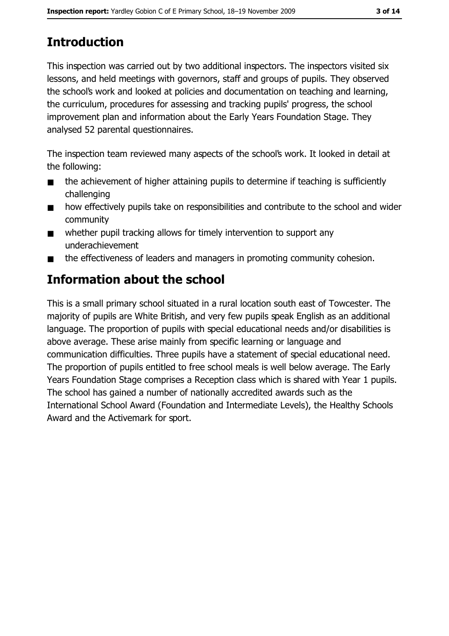# **Introduction**

This inspection was carried out by two additional inspectors. The inspectors visited six lessons, and held meetings with governors, staff and groups of pupils. They observed the school's work and looked at policies and documentation on teaching and learning, the curriculum, procedures for assessing and tracking pupils' progress, the school improvement plan and information about the Early Years Foundation Stage. They analysed 52 parental questionnaires.

The inspection team reviewed many aspects of the school's work. It looked in detail at the following:

- the achievement of higher attaining pupils to determine if teaching is sufficiently  $\blacksquare$ challenging
- how effectively pupils take on responsibilities and contribute to the school and wider  $\blacksquare$ community
- whether pupil tracking allows for timely intervention to support any  $\blacksquare$ underachievement
- the effectiveness of leaders and managers in promoting community cohesion.  $\blacksquare$

# **Information about the school**

This is a small primary school situated in a rural location south east of Towcester. The majority of pupils are White British, and very few pupils speak English as an additional language. The proportion of pupils with special educational needs and/or disabilities is above average. These arise mainly from specific learning or language and communication difficulties. Three pupils have a statement of special educational need. The proportion of pupils entitled to free school meals is well below average. The Early Years Foundation Stage comprises a Reception class which is shared with Year 1 pupils. The school has gained a number of nationally accredited awards such as the International School Award (Foundation and Intermediate Levels), the Healthy Schools Award and the Activemark for sport.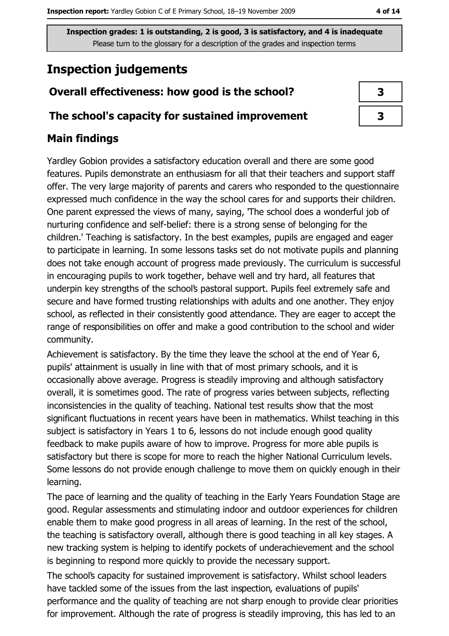# **Inspection judgements**

# Overall effectiveness: how good is the school?

### The school's capacity for sustained improvement

# **Main findings**

Yardley Gobion provides a satisfactory education overall and there are some good features. Pupils demonstrate an enthusiasm for all that their teachers and support staff offer. The very large majority of parents and carers who responded to the questionnaire expressed much confidence in the way the school cares for and supports their children. One parent expressed the views of many, saying, 'The school does a wonderful job of nurturing confidence and self-belief: there is a strong sense of belonging for the children.' Teaching is satisfactory. In the best examples, pupils are engaged and eager to participate in learning. In some lessons tasks set do not motivate pupils and planning does not take enough account of progress made previously. The curriculum is successful in encouraging pupils to work together, behave well and try hard, all features that underpin key strengths of the school's pastoral support. Pupils feel extremely safe and secure and have formed trusting relationships with adults and one another. They enjoy school, as reflected in their consistently good attendance. They are eager to accept the range of responsibilities on offer and make a good contribution to the school and wider community.

Achievement is satisfactory. By the time they leave the school at the end of Year 6, pupils' attainment is usually in line with that of most primary schools, and it is occasionally above average. Progress is steadily improving and although satisfactory overall, it is sometimes good. The rate of progress varies between subjects, reflecting inconsistencies in the quality of teaching. National test results show that the most significant fluctuations in recent years have been in mathematics. Whilst teaching in this subject is satisfactory in Years 1 to 6, lessons do not include enough good quality feedback to make pupils aware of how to improve. Progress for more able pupils is satisfactory but there is scope for more to reach the higher National Curriculum levels. Some lessons do not provide enough challenge to move them on quickly enough in their learning.

The pace of learning and the quality of teaching in the Early Years Foundation Stage are good. Regular assessments and stimulating indoor and outdoor experiences for children enable them to make good progress in all areas of learning. In the rest of the school, the teaching is satisfactory overall, although there is good teaching in all key stages. A new tracking system is helping to identify pockets of underachievement and the school is beginning to respond more quickly to provide the necessary support.

The school's capacity for sustained improvement is satisfactory. Whilst school leaders have tackled some of the issues from the last inspection, evaluations of pupils' performance and the quality of teaching are not sharp enough to provide clear priorities for improvement. Although the rate of progress is steadily improving, this has led to an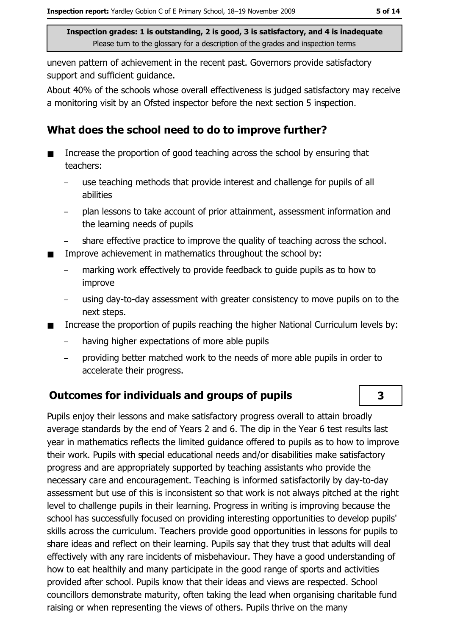uneven pattern of achievement in the recent past. Governors provide satisfactory support and sufficient quidance.

About 40% of the schools whose overall effectiveness is judged satisfactory may receive a monitoring visit by an Ofsted inspector before the next section 5 inspection.

# What does the school need to do to improve further?

- Increase the proportion of good teaching across the school by ensuring that  $\blacksquare$ teachers:
	- use teaching methods that provide interest and challenge for pupils of all abilities
	- plan lessons to take account of prior attainment, assessment information and the learning needs of pupils
	- share effective practice to improve the quality of teaching across the school.
- Improve achievement in mathematics throughout the school by:  $\blacksquare$ 
	- marking work effectively to provide feedback to quide pupils as to how to improve
	- using day-to-day assessment with greater consistency to move pupils on to the next steps.
- Increase the proportion of pupils reaching the higher National Curriculum levels by:  $\blacksquare$ 
	- having higher expectations of more able pupils  $\equiv$
	- providing better matched work to the needs of more able pupils in order to  $\equiv$ accelerate their progress.

### **Outcomes for individuals and groups of pupils**

Pupils enjoy their lessons and make satisfactory progress overall to attain broadly average standards by the end of Years 2 and 6. The dip in the Year 6 test results last year in mathematics reflects the limited quidance offered to pupils as to how to improve their work. Pupils with special educational needs and/or disabilities make satisfactory progress and are appropriately supported by teaching assistants who provide the necessary care and encouragement. Teaching is informed satisfactorily by day-to-day assessment but use of this is inconsistent so that work is not always pitched at the right level to challenge pupils in their learning. Progress in writing is improving because the school has successfully focused on providing interesting opportunities to develop pupils' skills across the curriculum. Teachers provide good opportunities in lessons for pupils to share ideas and reflect on their learning. Pupils say that they trust that adults will deal effectively with any rare incidents of misbehaviour. They have a good understanding of how to eat healthily and many participate in the good range of sports and activities provided after school. Pupils know that their ideas and views are respected. School councillors demonstrate maturity, often taking the lead when organising charitable fund raising or when representing the views of others. Pupils thrive on the many

 $\overline{\mathbf{3}}$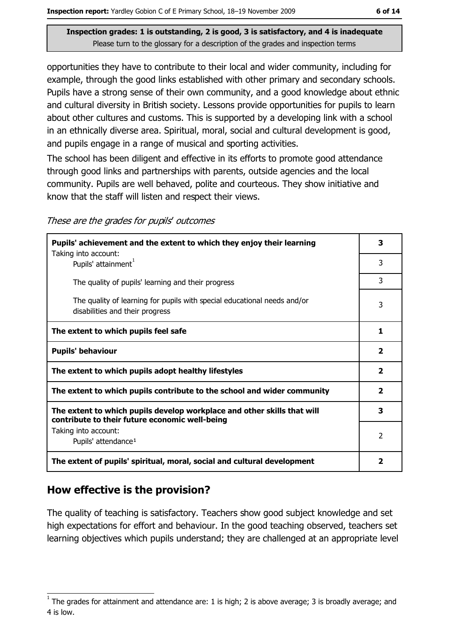opportunities they have to contribute to their local and wider community, including for example, through the good links established with other primary and secondary schools. Pupils have a strong sense of their own community, and a good knowledge about ethnic and cultural diversity in British society. Lessons provide opportunities for pupils to learn about other cultures and customs. This is supported by a developing link with a school in an ethnically diverse area. Spiritual, moral, social and cultural development is good, and pupils engage in a range of musical and sporting activities.

The school has been diligent and effective in its efforts to promote good attendance through good links and partnerships with parents, outside agencies and the local community. Pupils are well behaved, polite and courteous. They show initiative and know that the staff will listen and respect their views.

| Pupils' achievement and the extent to which they enjoy their learning                                                     |                         |  |
|---------------------------------------------------------------------------------------------------------------------------|-------------------------|--|
| Taking into account:<br>Pupils' attainment <sup>1</sup>                                                                   | 3                       |  |
| The quality of pupils' learning and their progress                                                                        | 3                       |  |
| The quality of learning for pupils with special educational needs and/or<br>disabilities and their progress               | 3                       |  |
| The extent to which pupils feel safe                                                                                      | 1                       |  |
| <b>Pupils' behaviour</b>                                                                                                  | $\overline{2}$          |  |
| The extent to which pupils adopt healthy lifestyles                                                                       |                         |  |
| The extent to which pupils contribute to the school and wider community                                                   |                         |  |
| The extent to which pupils develop workplace and other skills that will<br>contribute to their future economic well-being |                         |  |
| Taking into account:<br>Pupils' attendance <sup>1</sup>                                                                   | $\mathcal{P}$           |  |
| The extent of pupils' spiritual, moral, social and cultural development                                                   | $\overline{\mathbf{2}}$ |  |

### How effective is the provision?

The quality of teaching is satisfactory. Teachers show good subject knowledge and set high expectations for effort and behaviour. In the good teaching observed, teachers set learning objectives which pupils understand; they are challenged at an appropriate level

The grades for attainment and attendance are: 1 is high; 2 is above average; 3 is broadly average; and 4 is low.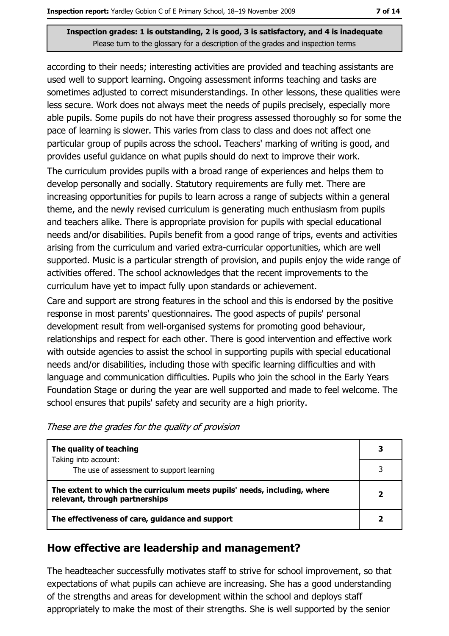according to their needs; interesting activities are provided and teaching assistants are used well to support learning. Ongoing assessment informs teaching and tasks are sometimes adjusted to correct misunderstandings. In other lessons, these qualities were less secure. Work does not always meet the needs of pupils precisely, especially more able pupils. Some pupils do not have their progress assessed thoroughly so for some the pace of learning is slower. This varies from class to class and does not affect one particular group of pupils across the school. Teachers' marking of writing is good, and provides useful quidance on what pupils should do next to improve their work. The curriculum provides pupils with a broad range of experiences and helps them to develop personally and socially. Statutory requirements are fully met. There are

increasing opportunities for pupils to learn across a range of subjects within a general theme, and the newly revised curriculum is generating much enthusiasm from pupils and teachers alike. There is appropriate provision for pupils with special educational needs and/or disabilities. Pupils benefit from a good range of trips, events and activities arising from the curriculum and varied extra-curricular opportunities, which are well supported. Music is a particular strength of provision, and pupils enjoy the wide range of activities offered. The school acknowledges that the recent improvements to the curriculum have yet to impact fully upon standards or achievement.

Care and support are strong features in the school and this is endorsed by the positive response in most parents' questionnaires. The good aspects of pupils' personal development result from well-organised systems for promoting good behaviour, relationships and respect for each other. There is good intervention and effective work with outside agencies to assist the school in supporting pupils with special educational needs and/or disabilities, including those with specific learning difficulties and with language and communication difficulties. Pupils who join the school in the Early Years Foundation Stage or during the year are well supported and made to feel welcome. The school ensures that pupils' safety and security are a high priority.

| The quality of teaching                                                                                    |  |
|------------------------------------------------------------------------------------------------------------|--|
| Taking into account:<br>The use of assessment to support learning                                          |  |
| The extent to which the curriculum meets pupils' needs, including, where<br>relevant, through partnerships |  |
| The effectiveness of care, guidance and support                                                            |  |

### How effective are leadership and management?

The headteacher successfully motivates staff to strive for school improvement, so that expectations of what pupils can achieve are increasing. She has a good understanding of the strengths and areas for development within the school and deploys staff appropriately to make the most of their strengths. She is well supported by the senior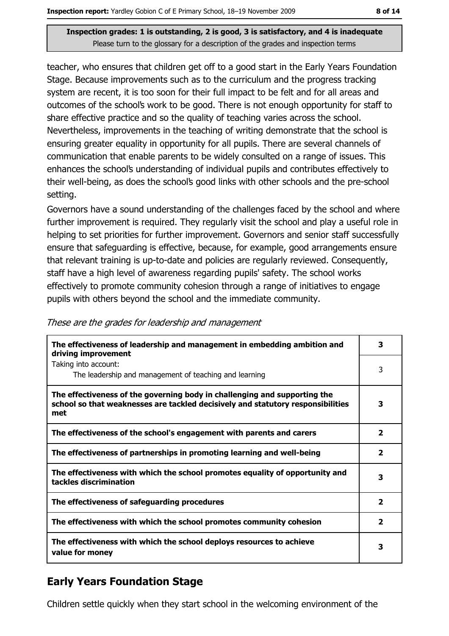teacher, who ensures that children get off to a good start in the Early Years Foundation Stage. Because improvements such as to the curriculum and the progress tracking system are recent, it is too soon for their full impact to be felt and for all areas and outcomes of the school's work to be good. There is not enough opportunity for staff to share effective practice and so the quality of teaching varies across the school. Nevertheless, improvements in the teaching of writing demonstrate that the school is ensuring greater equality in opportunity for all pupils. There are several channels of communication that enable parents to be widely consulted on a range of issues. This enhances the school's understanding of individual pupils and contributes effectively to their well-being, as does the school's good links with other schools and the pre-school setting.

Governors have a sound understanding of the challenges faced by the school and where further improvement is required. They regularly visit the school and play a useful role in helping to set priorities for further improvement. Governors and senior staff successfully ensure that safeguarding is effective, because, for example, good arrangements ensure that relevant training is up-to-date and policies are regularly reviewed. Consequently, staff have a high level of awareness regarding pupils' safety. The school works effectively to promote community cohesion through a range of initiatives to engage pupils with others beyond the school and the immediate community.

| mosc are are grades for readership and management                                                                                                                   |  |
|---------------------------------------------------------------------------------------------------------------------------------------------------------------------|--|
| The effectiveness of leadership and management in embedding ambition and<br>driving improvement                                                                     |  |
| Taking into account:                                                                                                                                                |  |
| The leadership and management of teaching and learning                                                                                                              |  |
| The effectiveness of the governing body in challenging and supporting the<br>school so that weaknesses are tackled decisively and statutory responsibilities<br>met |  |
| The effectiveness of the school's engagement with parents and carers                                                                                                |  |
| The effectiveness of partnerships in promoting learning and well-being                                                                                              |  |
| The effectiveness with which the school promotes equality of opportunity and<br>tackles discrimination                                                              |  |
| The effectiveness of safeguarding procedures                                                                                                                        |  |
| The effectiveness with which the school promotes community cohesion                                                                                                 |  |
| The effectiveness with which the school deploys resources to achieve                                                                                                |  |

These are the grades for leadership and management

# **Early Years Foundation Stage**

value for monev

Children settle quickly when they start school in the welcoming environment of the

 $\overline{\mathbf{3}}$ 

3

 $\overline{\mathbf{3}}$ 

 $\overline{2}$ 

 $\overline{2}$ 

 $\overline{\mathbf{3}}$ 

 $\overline{2}$ 

 $\overline{2}$ 

3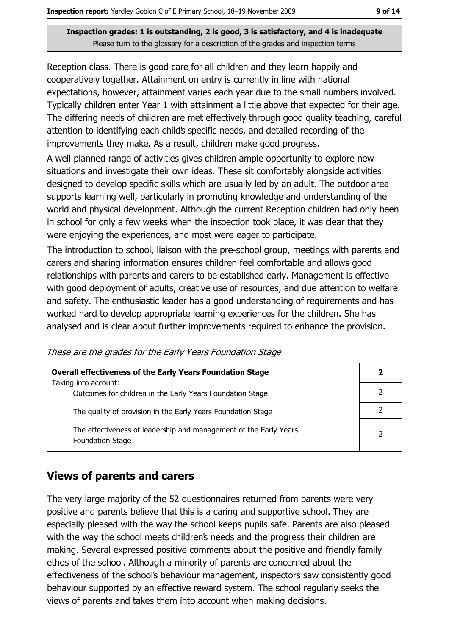Reception class. There is good care for all children and they learn happily and cooperatively together. Attainment on entry is currently in line with national expectations, however, attainment varies each year due to the small numbers involved. Typically children enter Year 1 with attainment a little above that expected for their age. The differing needs of children are met effectively through good quality teaching, careful attention to identifying each child's specific needs, and detailed recording of the improvements they make. As a result, children make good progress.

A well planned range of activities gives children ample opportunity to explore new situations and investigate their own ideas. These sit comfortably alongside activities designed to develop specific skills which are usually led by an adult. The outdoor area supports learning well, particularly in promoting knowledge and understanding of the world and physical development. Although the current Reception children had only been in school for only a few weeks when the inspection took place, it was clear that they were enjoying the experiences, and most were eager to participate.

The introduction to school, liaison with the pre-school group, meetings with parents and carers and sharing information ensures children feel comfortable and allows good relationships with parents and carers to be established early. Management is effective with good deployment of adults, creative use of resources, and due attention to welfare and safety. The enthusiastic leader has a good understanding of requirements and has worked hard to develop appropriate learning experiences for the children. She has analysed and is clear about further improvements required to enhance the provision.

These are the grades for the Early Years Foundation Stage

| <b>Overall effectiveness of the Early Years Foundation Stage</b>                             | 2             |
|----------------------------------------------------------------------------------------------|---------------|
| Taking into account:<br>Outcomes for children in the Early Years Foundation Stage            |               |
| The quality of provision in the Early Years Foundation Stage                                 |               |
| The effectiveness of leadership and management of the Early Years<br><b>Foundation Stage</b> | $\mathcal{P}$ |

# **Views of parents and carers**

The very large majority of the 52 questionnaires returned from parents were very positive and parents believe that this is a caring and supportive school. They are especially pleased with the way the school keeps pupils safe. Parents are also pleased with the way the school meets children's needs and the progress their children are making. Several expressed positive comments about the positive and friendly family ethos of the school. Although a minority of parents are concerned about the effectiveness of the school's behaviour management, inspectors saw consistently good behaviour supported by an effective reward system. The school regularly seeks the views of parents and takes them into account when making decisions.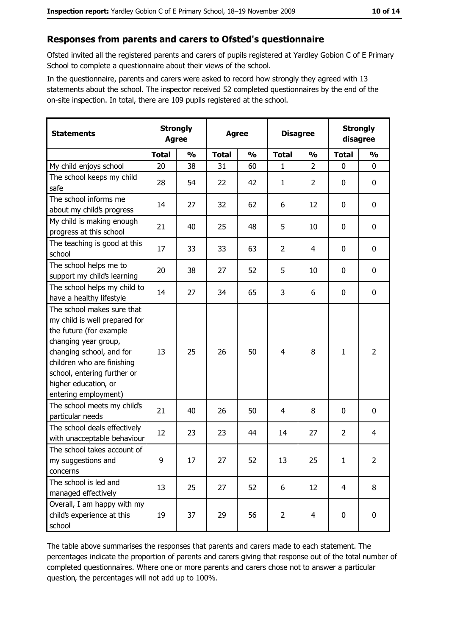#### Responses from parents and carers to Ofsted's questionnaire

Ofsted invited all the registered parents and carers of pupils registered at Yardley Gobion C of E Primary School to complete a questionnaire about their views of the school.

In the questionnaire, parents and carers were asked to record how strongly they agreed with 13 statements about the school. The inspector received 52 completed questionnaires by the end of the on-site inspection. In total, there are 109 pupils registered at the school.

| <b>Statements</b>                                                                                                                                                                                                                                       | <b>Agree</b> | <b>Strongly</b> | <b>Agree</b> |               |                |                |                | <b>Disagree</b> |  | <b>Strongly</b><br>disagree |  |
|---------------------------------------------------------------------------------------------------------------------------------------------------------------------------------------------------------------------------------------------------------|--------------|-----------------|--------------|---------------|----------------|----------------|----------------|-----------------|--|-----------------------------|--|
|                                                                                                                                                                                                                                                         | <b>Total</b> | $\frac{0}{0}$   | <b>Total</b> | $\frac{0}{0}$ | <b>Total</b>   | $\frac{0}{0}$  | <b>Total</b>   | $\frac{0}{0}$   |  |                             |  |
| My child enjoys school                                                                                                                                                                                                                                  | 20           | 38              | 31           | 60            | 1              | $\overline{2}$ | $\mathbf 0$    | $\mathbf 0$     |  |                             |  |
| The school keeps my child<br>safe                                                                                                                                                                                                                       | 28           | 54              | 22           | 42            | $\mathbf{1}$   | 2              | 0              | 0               |  |                             |  |
| The school informs me<br>about my child's progress                                                                                                                                                                                                      | 14           | 27              | 32           | 62            | 6              | 12             | 0              | $\mathbf 0$     |  |                             |  |
| My child is making enough<br>progress at this school                                                                                                                                                                                                    | 21           | 40              | 25           | 48            | 5              | 10             | 0              | 0               |  |                             |  |
| The teaching is good at this<br>school                                                                                                                                                                                                                  | 17           | 33              | 33           | 63            | $\overline{2}$ | 4              | 0              | 0               |  |                             |  |
| The school helps me to<br>support my child's learning                                                                                                                                                                                                   | 20           | 38              | 27           | 52            | 5              | 10             | 0              | $\mathbf 0$     |  |                             |  |
| The school helps my child to<br>have a healthy lifestyle                                                                                                                                                                                                | 14           | 27              | 34           | 65            | 3              | 6              | 0              | 0               |  |                             |  |
| The school makes sure that<br>my child is well prepared for<br>the future (for example<br>changing year group,<br>changing school, and for<br>children who are finishing<br>school, entering further or<br>higher education, or<br>entering employment) | 13           | 25              | 26           | 50            | $\overline{4}$ | 8              | 1              | $\overline{2}$  |  |                             |  |
| The school meets my child's<br>particular needs                                                                                                                                                                                                         | 21           | 40              | 26           | 50            | $\overline{4}$ | 8              | 0              | $\mathbf 0$     |  |                             |  |
| The school deals effectively<br>with unacceptable behaviour                                                                                                                                                                                             | 12           | 23              | 23           | 44            | 14             | 27             | $\overline{2}$ | 4               |  |                             |  |
| The school takes account of<br>my suggestions and<br>concerns                                                                                                                                                                                           | 9            | 17              | 27           | 52            | 13             | 25             | $\mathbf{1}$   | $\overline{2}$  |  |                             |  |
| The school is led and<br>managed effectively                                                                                                                                                                                                            | 13           | 25              | 27           | 52            | 6              | 12             | $\overline{4}$ | 8               |  |                             |  |
| Overall, I am happy with my<br>child's experience at this<br>school                                                                                                                                                                                     | 19           | 37              | 29           | 56            | $\overline{2}$ | $\overline{4}$ | 0              | $\mathbf 0$     |  |                             |  |

The table above summarises the responses that parents and carers made to each statement. The percentages indicate the proportion of parents and carers giving that response out of the total number of completed questionnaires. Where one or more parents and carers chose not to answer a particular question, the percentages will not add up to 100%.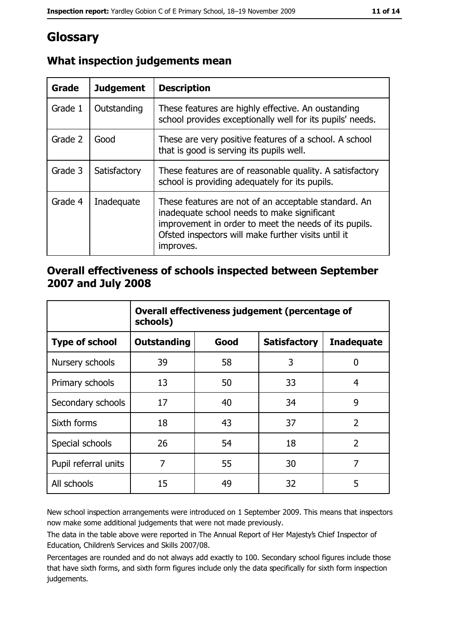# Glossary

| <b>Grade</b> | <b>Judgement</b> | <b>Description</b>                                                                                                                                                                                                               |
|--------------|------------------|----------------------------------------------------------------------------------------------------------------------------------------------------------------------------------------------------------------------------------|
| Grade 1      | Outstanding      | These features are highly effective. An oustanding<br>school provides exceptionally well for its pupils' needs.                                                                                                                  |
| Grade 2      | Good             | These are very positive features of a school. A school<br>that is good is serving its pupils well.                                                                                                                               |
| Grade 3      | Satisfactory     | These features are of reasonable quality. A satisfactory<br>school is providing adequately for its pupils.                                                                                                                       |
| Grade 4      | Inadequate       | These features are not of an acceptable standard. An<br>inadequate school needs to make significant<br>improvement in order to meet the needs of its pupils.<br>Ofsted inspectors will make further visits until it<br>improves. |

# What inspection judgements mean

### Overall effectiveness of schools inspected between September 2007 and July 2008

|                       | Overall effectiveness judgement (percentage of<br>schools) |      |                     |                   |  |  |
|-----------------------|------------------------------------------------------------|------|---------------------|-------------------|--|--|
| <b>Type of school</b> | Outstanding                                                | Good | <b>Satisfactory</b> | <b>Inadequate</b> |  |  |
| Nursery schools       | 39                                                         | 58   | 3                   | 0                 |  |  |
| Primary schools       | 13                                                         | 50   | 33                  | 4                 |  |  |
| Secondary schools     | 17                                                         | 40   | 34                  | 9                 |  |  |
| Sixth forms           | 18                                                         | 43   | 37                  | $\overline{2}$    |  |  |
| Special schools       | 26                                                         | 54   | 18                  | $\overline{2}$    |  |  |
| Pupil referral units  | 7                                                          | 55   | 30                  | 7                 |  |  |
| All schools           | 15                                                         | 49   | 32                  | 5                 |  |  |

New school inspection arrangements were introduced on 1 September 2009. This means that inspectors now make some additional judgements that were not made previously.

The data in the table above were reported in The Annual Report of Her Majesty's Chief Inspector of Education, Children's Services and Skills 2007/08.

Percentages are rounded and do not always add exactly to 100. Secondary school figures include those that have sixth forms, and sixth form figures include only the data specifically for sixth form inspection judgements.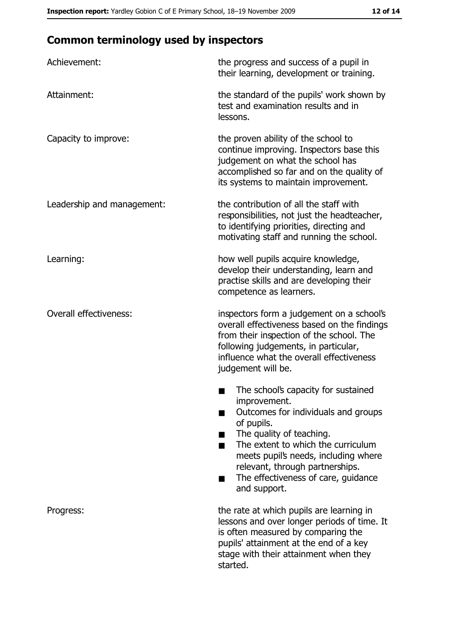# **Common terminology used by inspectors**

| Achievement:                  | the progress and success of a pupil in<br>their learning, development or training.                                                                                                                                                                                                                           |
|-------------------------------|--------------------------------------------------------------------------------------------------------------------------------------------------------------------------------------------------------------------------------------------------------------------------------------------------------------|
| Attainment:                   | the standard of the pupils' work shown by<br>test and examination results and in<br>lessons.                                                                                                                                                                                                                 |
| Capacity to improve:          | the proven ability of the school to<br>continue improving. Inspectors base this<br>judgement on what the school has<br>accomplished so far and on the quality of<br>its systems to maintain improvement.                                                                                                     |
| Leadership and management:    | the contribution of all the staff with<br>responsibilities, not just the headteacher,<br>to identifying priorities, directing and<br>motivating staff and running the school.                                                                                                                                |
| Learning:                     | how well pupils acquire knowledge,<br>develop their understanding, learn and<br>practise skills and are developing their<br>competence as learners.                                                                                                                                                          |
| <b>Overall effectiveness:</b> | inspectors form a judgement on a school's<br>overall effectiveness based on the findings<br>from their inspection of the school. The<br>following judgements, in particular,<br>influence what the overall effectiveness<br>judgement will be.                                                               |
|                               | The school's capacity for sustained<br>improvement.<br>Outcomes for individuals and groups<br>of pupils.<br>The quality of teaching.<br>The extent to which the curriculum<br>meets pupil's needs, including where<br>relevant, through partnerships.<br>The effectiveness of care, guidance<br>and support. |
| Progress:                     | the rate at which pupils are learning in<br>lessons and over longer periods of time. It<br>is often measured by comparing the<br>pupils' attainment at the end of a key<br>stage with their attainment when they<br>started.                                                                                 |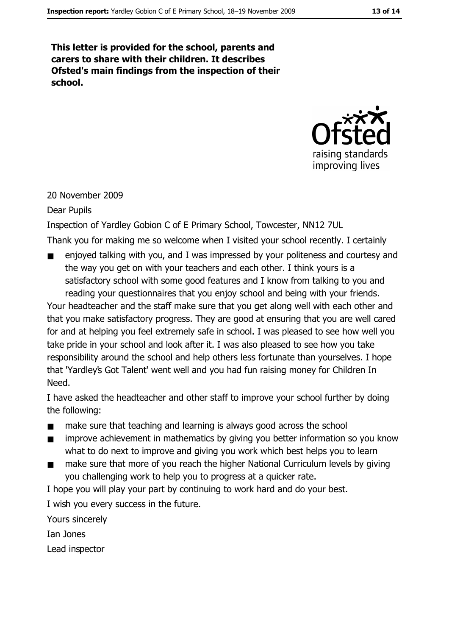This letter is provided for the school, parents and carers to share with their children. It describes Ofsted's main findings from the inspection of their school.



#### 20 November 2009

#### Dear Pupils

Inspection of Yardley Gobion C of E Primary School, Towcester, NN12 7UL

Thank you for making me so welcome when I visited your school recently. I certainly

enjoved talking with you, and I was impressed by your politeness and courtesy and  $\blacksquare$ the way you get on with your teachers and each other. I think yours is a satisfactory school with some good features and I know from talking to you and reading your questionnaires that you enjoy school and being with your friends.

Your headteacher and the staff make sure that you get along well with each other and that you make satisfactory progress. They are good at ensuring that you are well cared for and at helping you feel extremely safe in school. I was pleased to see how well you take pride in your school and look after it. I was also pleased to see how you take responsibility around the school and help others less fortunate than yourselves. I hope that 'Yardley's Got Talent' went well and you had fun raising money for Children In Need.

I have asked the headteacher and other staff to improve your school further by doing the following:

- make sure that teaching and learning is always good across the school  $\blacksquare$
- improve achievement in mathematics by giving you better information so you know  $\blacksquare$ what to do next to improve and giving you work which best helps you to learn
- make sure that more of you reach the higher National Curriculum levels by giving  $\blacksquare$ you challenging work to help you to progress at a guicker rate.

I hope you will play your part by continuing to work hard and do your best.

I wish you every success in the future.

Yours sincerely

Tan Jones

Lead inspector